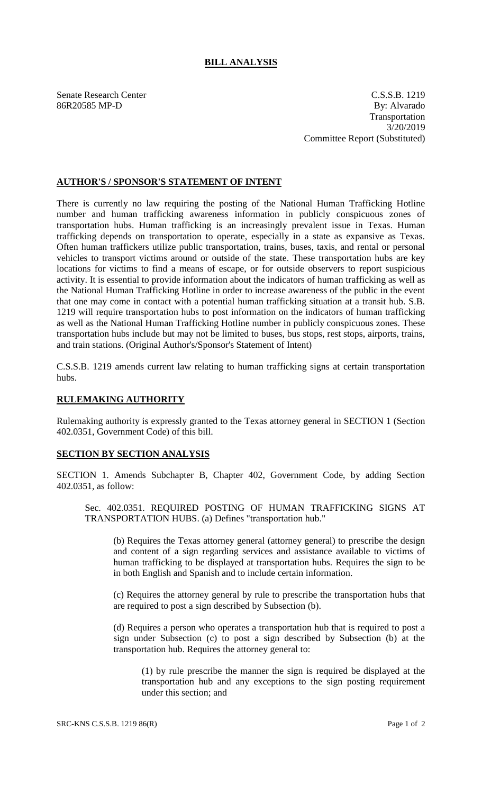# **BILL ANALYSIS**

Senate Research Center C.S.S.B. 1219 86R20585 MP-D By: Alvarado Transportation 3/20/2019 Committee Report (Substituted)

# **AUTHOR'S / SPONSOR'S STATEMENT OF INTENT**

There is currently no law requiring the posting of the National Human Trafficking Hotline number and human trafficking awareness information in publicly conspicuous zones of transportation hubs. Human trafficking is an increasingly prevalent issue in Texas. Human trafficking depends on transportation to operate, especially in a state as expansive as Texas. Often human traffickers utilize public transportation, trains, buses, taxis, and rental or personal vehicles to transport victims around or outside of the state. These transportation hubs are key locations for victims to find a means of escape, or for outside observers to report suspicious activity. It is essential to provide information about the indicators of human trafficking as well as the National Human Trafficking Hotline in order to increase awareness of the public in the event that one may come in contact with a potential human trafficking situation at a transit hub. S.B. 1219 will require transportation hubs to post information on the indicators of human trafficking as well as the National Human Trafficking Hotline number in publicly conspicuous zones. These transportation hubs include but may not be limited to buses, bus stops, rest stops, airports, trains, and train stations. (Original Author's/Sponsor's Statement of Intent)

C.S.S.B. 1219 amends current law relating to human trafficking signs at certain transportation hubs.

# **RULEMAKING AUTHORITY**

Rulemaking authority is expressly granted to the Texas attorney general in SECTION 1 (Section 402.0351, Government Code) of this bill.

# **SECTION BY SECTION ANALYSIS**

SECTION 1. Amends Subchapter B, Chapter 402, Government Code, by adding Section 402.0351, as follow:

Sec. 402.0351. REQUIRED POSTING OF HUMAN TRAFFICKING SIGNS AT TRANSPORTATION HUBS. (a) Defines "transportation hub."

(b) Requires the Texas attorney general (attorney general) to prescribe the design and content of a sign regarding services and assistance available to victims of human trafficking to be displayed at transportation hubs. Requires the sign to be in both English and Spanish and to include certain information.

(c) Requires the attorney general by rule to prescribe the transportation hubs that are required to post a sign described by Subsection (b).

(d) Requires a person who operates a transportation hub that is required to post a sign under Subsection (c) to post a sign described by Subsection (b) at the transportation hub. Requires the attorney general to:

(1) by rule prescribe the manner the sign is required be displayed at the transportation hub and any exceptions to the sign posting requirement under this section; and